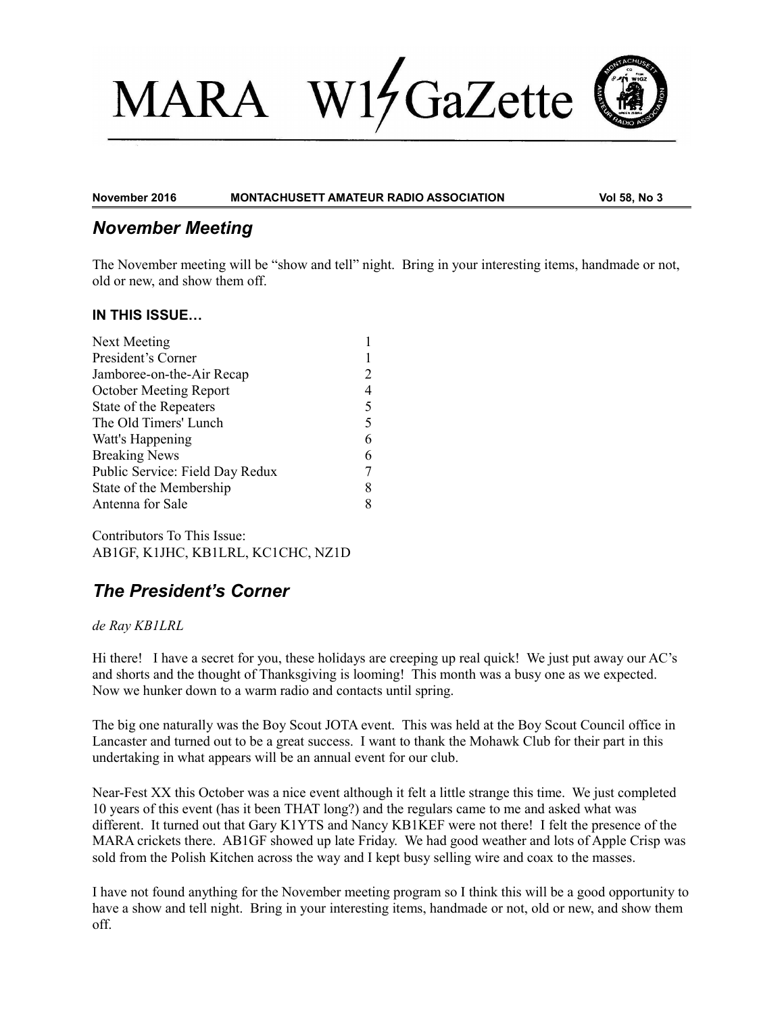# $V1/$ GaZette **MARA**



**November 2016 MONTACHUSETT AMATEUR RADIO ASSOCIATION Vol 58, No 3**

### *November Meeting*

The November meeting will be "show and tell" night. Bring in your interesting items, handmade or not, old or new, and show them off.

### **IN THIS ISSUE…**

| Next Meeting                    |   |
|---------------------------------|---|
| President's Corner              |   |
| Jamboree-on-the-Air Recap       | 2 |
| October Meeting Report          | 4 |
| State of the Repeaters          | 5 |
| The Old Timers' Lunch           | 5 |
| Watt's Happening                | 6 |
| <b>Breaking News</b>            | 6 |
| Public Service: Field Day Redux | 7 |
| State of the Membership         | 8 |
| Antenna for Sale                | 8 |
|                                 |   |

Contributors To This Issue: AB1GF, K1JHC, KB1LRL, KC1CHC, NZ1D

# *The President's Corner*

### *de Ray KB1LRL*

Hi there! I have a secret for you, these holidays are creeping up real quick! We just put away our AC's and shorts and the thought of Thanksgiving is looming! This month was a busy one as we expected. Now we hunker down to a warm radio and contacts until spring.

The big one naturally was the Boy Scout JOTA event. This was held at the Boy Scout Council office in Lancaster and turned out to be a great success. I want to thank the Mohawk Club for their part in this undertaking in what appears will be an annual event for our club.

Near-Fest XX this October was a nice event although it felt a little strange this time. We just completed 10 years of this event (has it been THAT long?) and the regulars came to me and asked what was different. It turned out that Gary K1YTS and Nancy KB1KEF were not there! I felt the presence of the MARA crickets there. AB1GF showed up late Friday. We had good weather and lots of Apple Crisp was sold from the Polish Kitchen across the way and I kept busy selling wire and coax to the masses.

I have not found anything for the November meeting program so I think this will be a good opportunity to have a show and tell night. Bring in your interesting items, handmade or not, old or new, and show them off.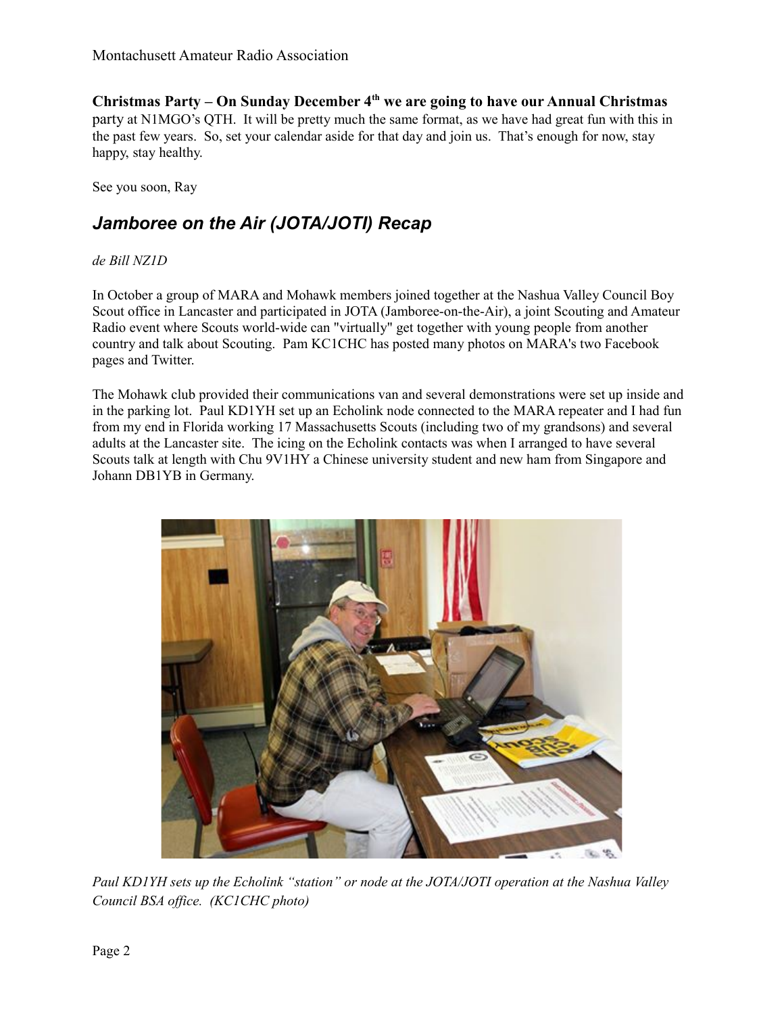**Christmas Party – On Sunday December 4th we are going to have our Annual Christmas**  party at N1MGO's QTH. It will be pretty much the same format, as we have had great fun with this in the past few years. So, set your calendar aside for that day and join us. That's enough for now, stay happy, stay healthy.

See you soon, Ray

## *Jamboree on the Air (JOTA/JOTI) Recap*

### *de Bill NZ1D*

In October a group of MARA and Mohawk members joined together at the Nashua Valley Council Boy Scout office in Lancaster and participated in JOTA (Jamboree-on-the-Air), a joint Scouting and Amateur Radio event where Scouts world-wide can "virtually" get together with young people from another country and talk about Scouting. Pam KC1CHC has posted many photos on MARA's two Facebook pages and Twitter.

The Mohawk club provided their communications van and several demonstrations were set up inside and in the parking lot. Paul KD1YH set up an Echolink node connected to the MARA repeater and I had fun from my end in Florida working 17 Massachusetts Scouts (including two of my grandsons) and several adults at the Lancaster site. The icing on the Echolink contacts was when I arranged to have several Scouts talk at length with Chu 9V1HY a Chinese university student and new ham from Singapore and Johann DB1YB in Germany.



*Paul KD1YH sets up the Echolink "station" or node at the JOTA/JOTI operation at the Nashua Valley Council BSA office. (KC1CHC photo)*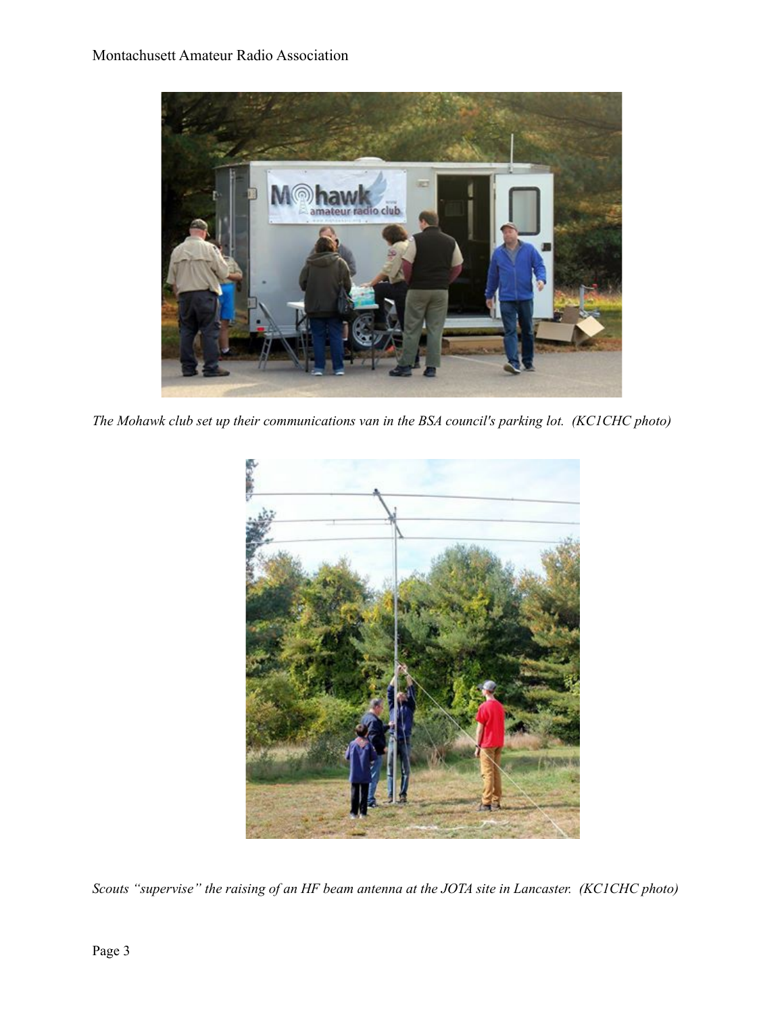

*The Mohawk club set up their communications van in the BSA council's parking lot. (KC1CHC photo)*



*Scouts "supervise" the raising of an HF beam antenna at the JOTA site in Lancaster. (KC1CHC photo)*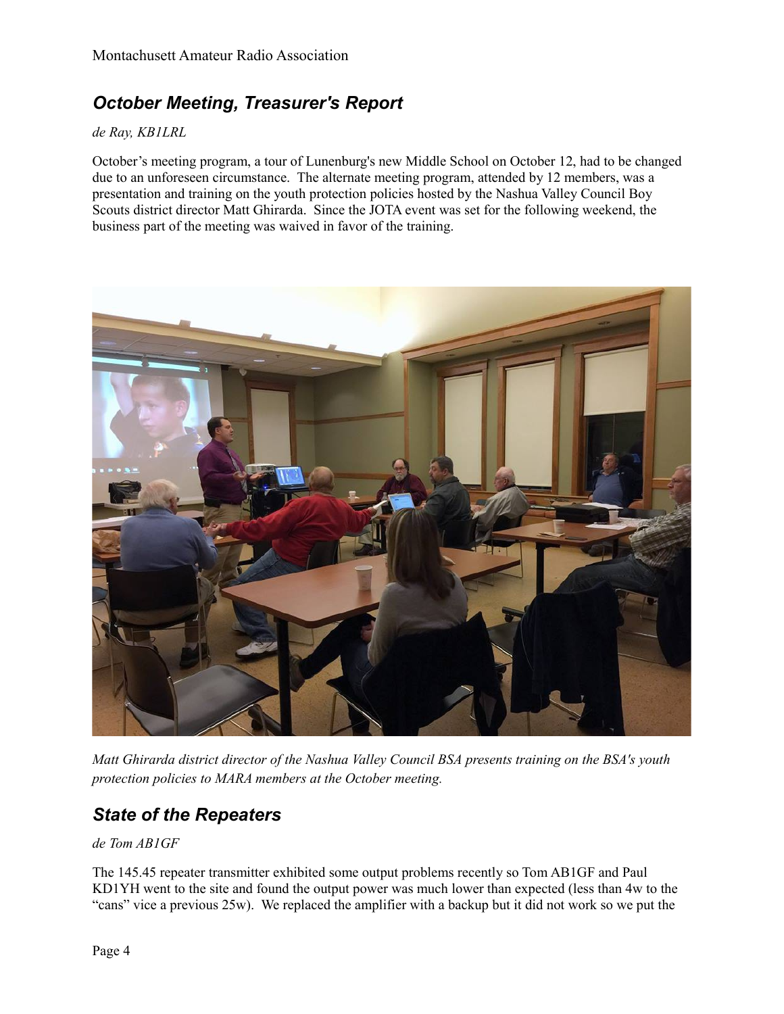# *October Meeting, Treasurer's Report*

#### *de Ray, KB1LRL*

October's meeting program, a tour of Lunenburg's new Middle School on October 12, had to be changed due to an unforeseen circumstance. The alternate meeting program, attended by 12 members, was a presentation and training on the youth protection policies hosted by the Nashua Valley Council Boy Scouts district director Matt Ghirarda. Since the JOTA event was set for the following weekend, the business part of the meeting was waived in favor of the training.



*Matt Ghirarda district director of the Nashua Valley Council BSA presents training on the BSA's youth protection policies to MARA members at the October meeting.*

### *State of the Repeaters*

### *de Tom AB1GF*

The 145.45 repeater transmitter exhibited some output problems recently so Tom AB1GF and Paul KD1YH went to the site and found the output power was much lower than expected (less than 4w to the "cans" vice a previous 25w). We replaced the amplifier with a backup but it did not work so we put the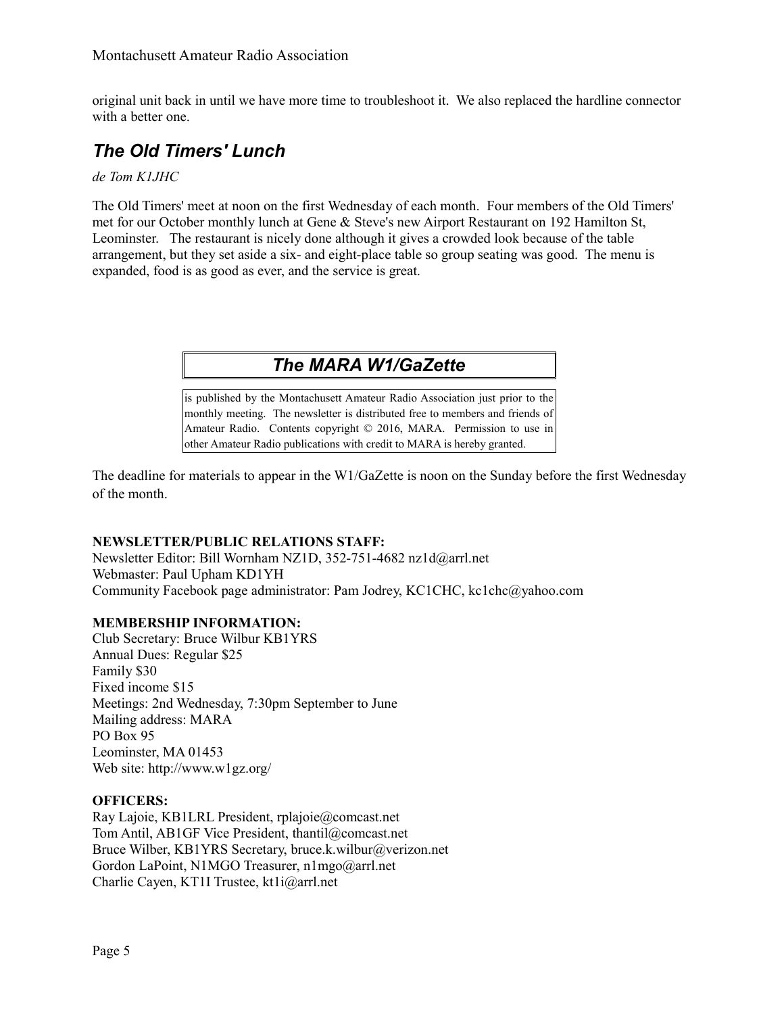original unit back in until we have more time to troubleshoot it. We also replaced the hardline connector with a better one.

# *The Old Timers' Lunch*

#### *de Tom K1JHC*

The Old Timers' meet at noon on the first Wednesday of each month. Four members of the Old Timers' met for our October monthly lunch at Gene & Steve's new Airport Restaurant on 192 Hamilton St, Leominster. The restaurant is nicely done although it gives a crowded look because of the table arrangement, but they set aside a six- and eight-place table so group seating was good. The menu is expanded, food is as good as ever, and the service is great.

# *The MARA W1/GaZette*

is published by the Montachusett Amateur Radio Association just prior to the monthly meeting. The newsletter is distributed free to members and friends of Amateur Radio. Contents copyright © 2016, MARA. Permission to use in other Amateur Radio publications with credit to MARA is hereby granted.

The deadline for materials to appear in the W1/GaZette is noon on the Sunday before the first Wednesday of the month.

### **NEWSLETTER/PUBLIC RELATIONS STAFF:**

Newsletter Editor: Bill Wornham NZ1D, 352-751-4682 nz1d@arrl.net Webmaster: Paul Upham KD1YH Community Facebook page administrator: Pam Jodrey, KC1CHC, kc1chc@yahoo.com

### **MEMBERSHIP INFORMATION:**

Club Secretary: Bruce Wilbur KB1YRS Annual Dues: Regular \$25 Family \$30 Fixed income \$15 Meetings: 2nd Wednesday, 7:30pm September to June Mailing address: MARA PO Box 95 Leominster, MA 01453 Web site: http://www.w1gz.org/

#### **OFFICERS:**

Ray Lajoie, KB1LRL President, rplajoie@comcast.net Tom Antil, AB1GF Vice President, thantil@comcast.net Bruce Wilber, KB1YRS Secretary, bruce.k.wilbur@verizon.net Gordon LaPoint, N1MGO Treasurer, n1mgo@arrl.net Charlie Cayen, KT1I Trustee, kt1i@arrl.net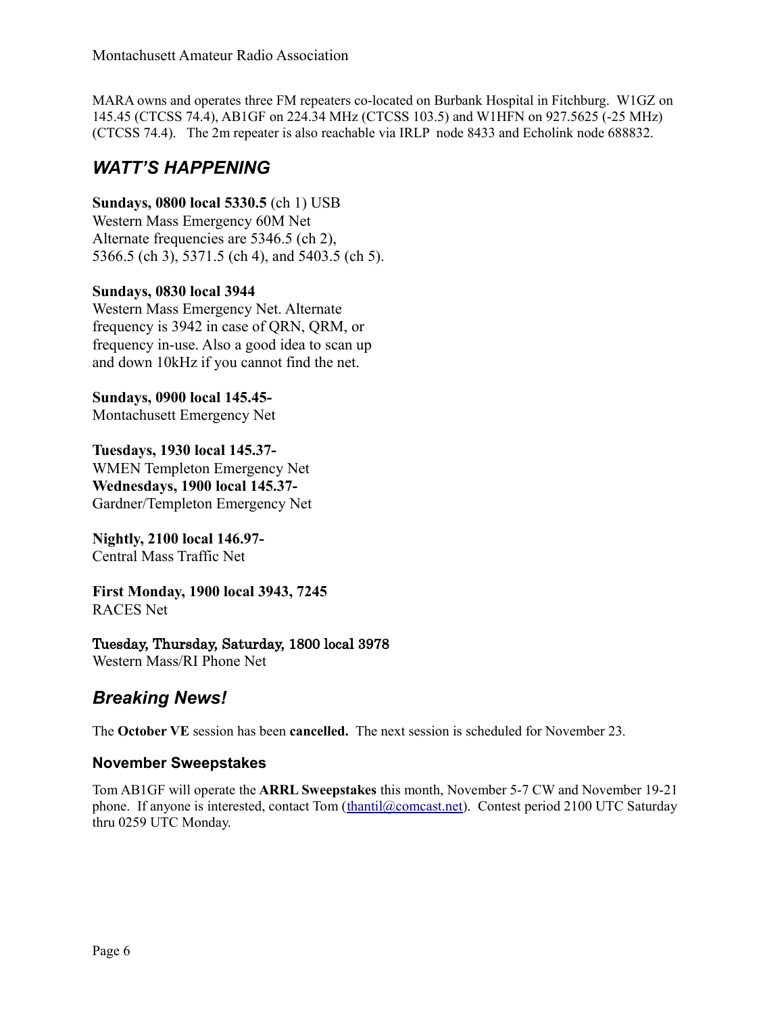MARA owns and operates three FM repeaters co-located on Burbank Hospital in Fitchburg. W1GZ on 145.45 (CTCSS 74.4), AB1GF on 224.34 MHz (CTCSS 103.5) and W1HFN on 927.5625 (-25 MHz) (CTCSS 74.4). The 2m repeater is also reachable via IRLP node 8433 and Echolink node 688832.

### *WATT'S HAPPENING*

**Sundays, 0800 local 5330.5** (ch 1) USB Western Mass Emergency 60M Net Alternate frequencies are 5346.5 (ch 2), 5366.5 (ch 3), 5371.5 (ch 4), and 5403.5 (ch 5).

### **Sundays, 0830 local 3944**

Western Mass Emergency Net. Alternate frequency is 3942 in case of QRN, QRM, or frequency in-use. Also a good idea to scan up and down 10kHz if you cannot find the net.

**Sundays, 0900 local 145.45-** Montachusett Emergency Net

**Tuesdays, 1930 local 145.37-** WMEN Templeton Emergency Net **Wednesdays, 1900 local 145.37-** Gardner/Templeton Emergency Net

**Nightly, 2100 local 146.97-** Central Mass Traffic Net

**First Monday, 1900 local 3943, 7245** RACES Net

### Tuesday, Thursday, Saturday, 1800 local 3978

Western Mass/RI Phone Net

### *Breaking News!*

The **October VE** session has been **cancelled.** The next session is scheduled for November 23.

### **November Sweepstakes**

Tom AB1GF will operate the **ARRL Sweepstakes** this month, November 5-7 CW and November 19-21 phone. If anyone is interested, contact Tom [\(thantil@comcast.net\)](mailto:thantil@comcast.net). Contest period 2100 UTC Saturday thru 0259 UTC Monday.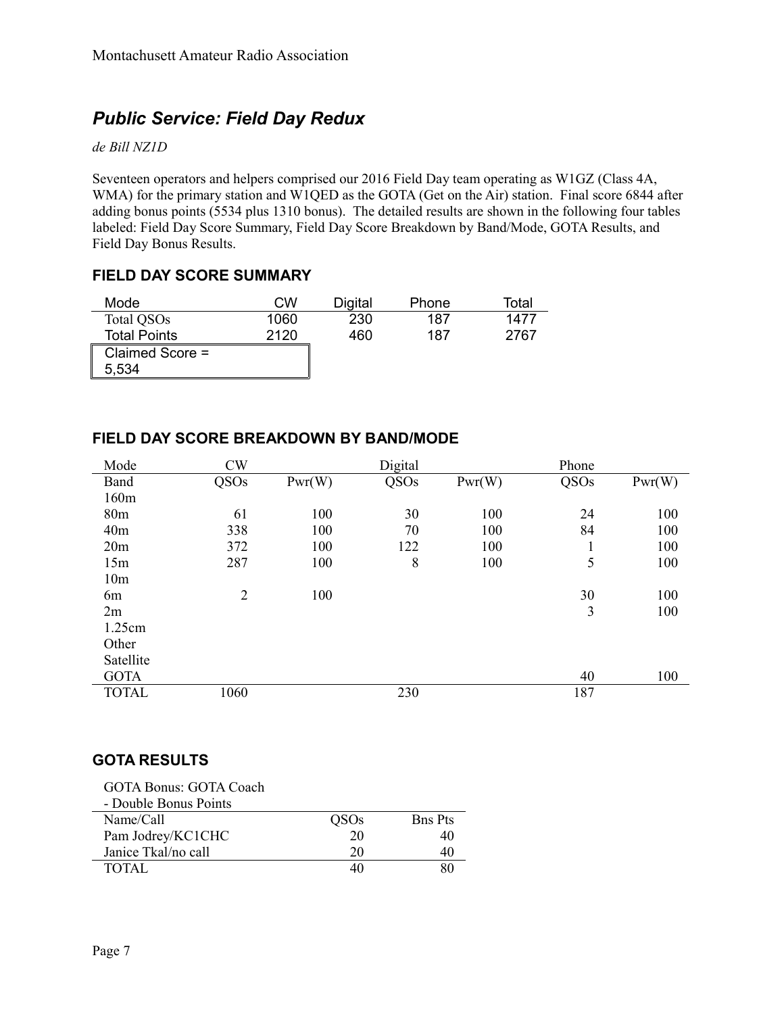# *Public Service: Field Day Redux*

#### *de Bill NZ1D*

Seventeen operators and helpers comprised our 2016 Field Day team operating as W1GZ (Class 4A, WMA) for the primary station and W1QED as the GOTA (Get on the Air) station. Final score 6844 after adding bonus points (5534 plus 1310 bonus). The detailed results are shown in the following four tables labeled: Field Day Score Summary, Field Day Score Breakdown by Band/Mode, GOTA Results, and Field Day Bonus Results.

### **FIELD DAY SCORE SUMMARY**

| Mode                   | CW   | Digital | Phone | Total |
|------------------------|------|---------|-------|-------|
| Total QSO <sub>s</sub> | 1060 | 230     | 187   | 1477  |
| <b>Total Points</b>    | 2120 | 460     | 187   | 2767  |
| Claimed Score =        |      |         |       |       |
| 5,534                  |      |         |       |       |

#### Mode CW Digital Phone Band QSOs Pwr(W) QSOs Pwr(W) QSOs Pwr(W) 160m 80m 61 100 30 100 24 100 40m 338 100 70 100 84 100 20m 372 100 122 100 1 100 15m 287 100 8 100 5 100 10m 6m 2 100 30 100 2m 3 100 1.25cm **Other** Satellite GOTA  $40$  100 TOTAL 1060 230 187

### **FIELD DAY SCORE BREAKDOWN BY BAND/MODE**

### **GOTA RESULTS**

| <b>GOTA Bonus: GOTA Coach</b> |             |                |
|-------------------------------|-------------|----------------|
| - Double Bonus Points         |             |                |
| Name/Call                     | <b>OSOs</b> | <b>Bns Pts</b> |
| Pam Jodrey/KC1CHC             | 20          | 40             |
| Janice Tkal/no call           | 20          |                |
| TOTAL.                        |             |                |